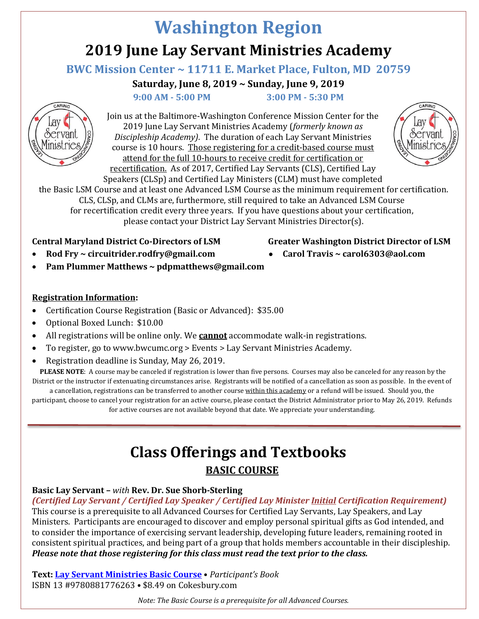# **Washington Region 2019 June Lay Servant Ministries Academy**

## **BWC Mission Center ~ 11711 E. Market Place, Fulton, MD 20759**

**Saturday, June 8, 2019 ~ Sunday, June 9, 2019**

 **9:00 AM - 5:00 PM 3:00 PM - 5:30 PM**



Join us at the Baltimore-Washington Conference Mission Center for the 2019 June Lay Servant Ministries Academy (*formerly known as Discipleship Academy)*. The duration of each Lay Servant Ministries course is 10 hours. Those registering for a credit-based course must attend for the full 10-hours to receive credit for certification or recertification. As of 2017, Certified Lay Servants (CLS), Certified Lay Speakers (CLSp) and Certified Lay Ministers (CLM) must have completed



the Basic LSM Course and at least one Advanced LSM Course as the minimum requirement for certification. CLS, CLSp, and CLMs are, furthermore, still required to take an Advanced LSM Course for recertification credit every three years. If you have questions about your certification, please contact your District Lay Servant Ministries Director(s).

## **Central Maryland District Co-Directors of LSM Greater Washington District Director of LSM**

- 
- **Rod Fry ~ circuitrider.rodfry@gmail.com** • **Carol Travis ~ [carol6303@aol.com](mailto:carol6303@aol.com)**
	- **Pam Plummer Matthews ~ pdpmatthews@gmail.com**

## **Registration Information:**

- Certification Course Registration (Basic or Advanced): \$35.00
- Optional Boxed Lunch: \$10.00
- All registrations will be online only. We **cannot** accommodate walk-in registrations.
- To register, go to www.bwcumc.org > Events > Lay Servant Ministries Academy.
- Registration deadline is Sunday, May 26, 2019.

**PLEASE NOTE**: A course may be canceled if registration is lower than five persons. Courses may also be canceled for any reason by the District or the instructor if extenuating circumstances arise. Registrants will be notified of a cancellation as soon as possible. In the event of

a cancellation, registrations can be transferred to another course within this academy or a refund will be issued. Should you, the participant, choose to cancel your registration for an active course, please contact the District Administrator prior to May 26, 2019. Refunds for active courses are not available beyond that date. We appreciate your understanding.

## **Class Offerings and Textbooks BASIC COURSE**

## **Basic Lay Servant –** *with* **Rev. Dr. Sue Shorb-Sterling**

*(Certified Lay Servant / Certified Lay Speaker / Certified Lay Minister Initial Certification Requirement)* This course is a prerequisite to all Advanced Courses for Certified Lay Servants, Lay Speakers, and Lay Ministers. Participants are encouraged to discover and employ personal spiritual gifts as God intended, and to consider the importance of exercising servant leadership, developing future leaders, remaining rooted in consistent spiritual practices, and being part of a group that holds members accountable in their discipleship. *Please note that those registering for this class must read the text prior to the class.*

**Text: [Lay Servant Ministries Basic Course](https://www.cokesbury.com/product/9780881776263/lay-servant-ministries-basic-course-participants-book/)** • *Participant's Book* ISBN 13 #9780881776263 • \$8.49 o[n](https://www.cokesbury.com/product/9780881776263/lay-servant-ministries-basic-course-participants-book/?rank=0&txtSearchQuery=Lay%20Servant%20Ministries%20Basic%20Course%20Participant%27s%20Book) Cokesbury.com

*Note: The Basic Course is a prerequisite for all Advanced Courses.*